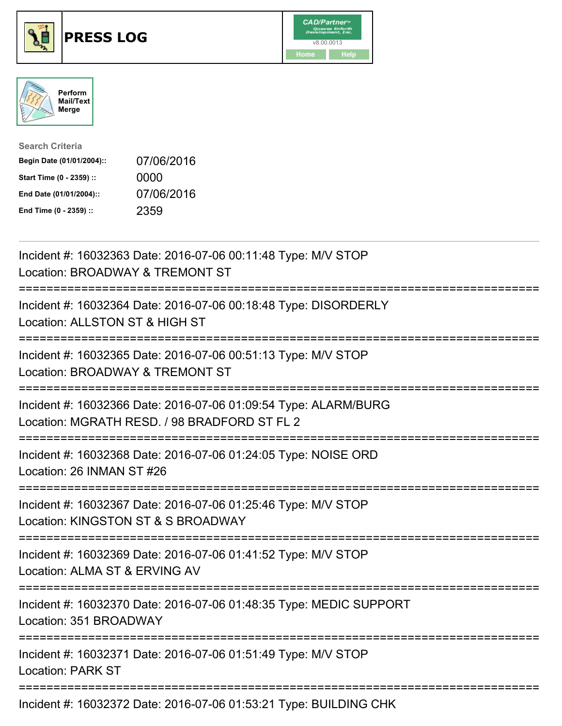





| <b>Search Criteria</b>    |            |
|---------------------------|------------|
| Begin Date (01/01/2004):: | 07/06/2016 |
| Start Time (0 - 2359) ::  | 0000       |
| End Date (01/01/2004)::   | 07/06/2016 |
| End Time (0 - 2359) ::    | 2359       |

| Incident #: 16032363 Date: 2016-07-06 00:11:48 Type: M/V STOP<br>Location: BROADWAY & TREMONT ST                                    |
|-------------------------------------------------------------------------------------------------------------------------------------|
| Incident #: 16032364 Date: 2016-07-06 00:18:48 Type: DISORDERLY<br>Location: ALLSTON ST & HIGH ST                                   |
| Incident #: 16032365 Date: 2016-07-06 00:51:13 Type: M/V STOP<br>Location: BROADWAY & TREMONT ST                                    |
| Incident #: 16032366 Date: 2016-07-06 01:09:54 Type: ALARM/BURG<br>Location: MGRATH RESD. / 98 BRADFORD ST FL 2                     |
| Incident #: 16032368 Date: 2016-07-06 01:24:05 Type: NOISE ORD<br>Location: 26 INMAN ST #26<br>===============                      |
| Incident #: 16032367 Date: 2016-07-06 01:25:46 Type: M/V STOP<br>Location: KINGSTON ST & S BROADWAY<br>:=========================== |
| Incident #: 16032369 Date: 2016-07-06 01:41:52 Type: M/V STOP<br>Location: ALMA ST & ERVING AV                                      |
| Incident #: 16032370 Date: 2016-07-06 01:48:35 Type: MEDIC SUPPORT<br>Location: 351 BROADWAY                                        |
| Incident #: 16032371 Date: 2016-07-06 01:51:49 Type: M/V STOP<br><b>Location: PARK ST</b>                                           |
| Incident #: 16032372 Date: 2016-07-06 01:53:21 Type: BUILDING CHK                                                                   |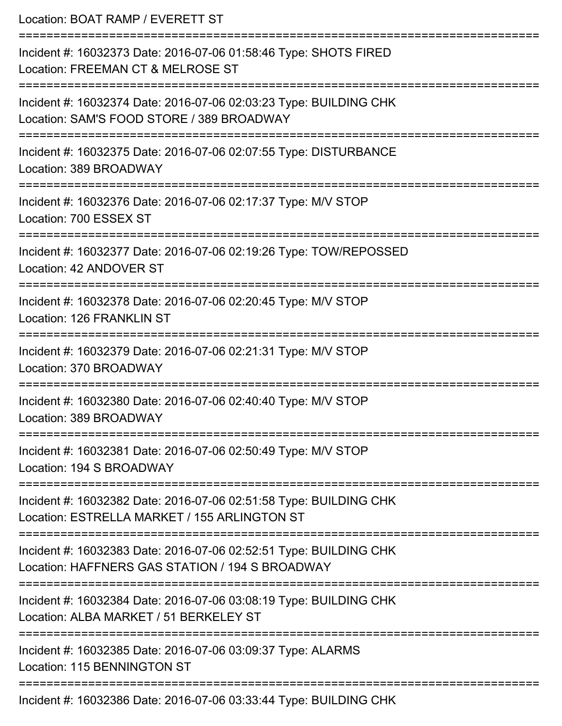| Location: BOAT RAMP / EVERETT ST                                                                                                                       |
|--------------------------------------------------------------------------------------------------------------------------------------------------------|
| Incident #: 16032373 Date: 2016-07-06 01:58:46 Type: SHOTS FIRED<br>Location: FREEMAN CT & MELROSE ST<br>=================================             |
| Incident #: 16032374 Date: 2016-07-06 02:03:23 Type: BUILDING CHK<br>Location: SAM'S FOOD STORE / 389 BROADWAY<br>:=================================== |
| Incident #: 16032375 Date: 2016-07-06 02:07:55 Type: DISTURBANCE<br>Location: 389 BROADWAY                                                             |
| Incident #: 16032376 Date: 2016-07-06 02:17:37 Type: M/V STOP<br>Location: 700 ESSEX ST                                                                |
| Incident #: 16032377 Date: 2016-07-06 02:19:26 Type: TOW/REPOSSED<br>Location: 42 ANDOVER ST                                                           |
| Incident #: 16032378 Date: 2016-07-06 02:20:45 Type: M/V STOP<br><b>Location: 126 FRANKLIN ST</b>                                                      |
| Incident #: 16032379 Date: 2016-07-06 02:21:31 Type: M/V STOP<br>Location: 370 BROADWAY                                                                |
| Incident #: 16032380 Date: 2016-07-06 02:40:40 Type: M/V STOP<br>Location: 389 BROADWAY                                                                |
| Incident #: 16032381 Date: 2016-07-06 02:50:49 Type: M/V STOP<br>Location: 194 S BROADWAY                                                              |
| Incident #: 16032382 Date: 2016-07-06 02:51:58 Type: BUILDING CHK<br>Location: ESTRELLA MARKET / 155 ARLINGTON ST                                      |
| Incident #: 16032383 Date: 2016-07-06 02:52:51 Type: BUILDING CHK<br>Location: HAFFNERS GAS STATION / 194 S BROADWAY                                   |
| Incident #: 16032384 Date: 2016-07-06 03:08:19 Type: BUILDING CHK<br>Location: ALBA MARKET / 51 BERKELEY ST                                            |
| Incident #: 16032385 Date: 2016-07-06 03:09:37 Type: ALARMS<br><b>Location: 115 BENNINGTON ST</b>                                                      |
| Incident #: 16032386 Date: 2016-07-06 03:33:44 Type: BUILDING CHK                                                                                      |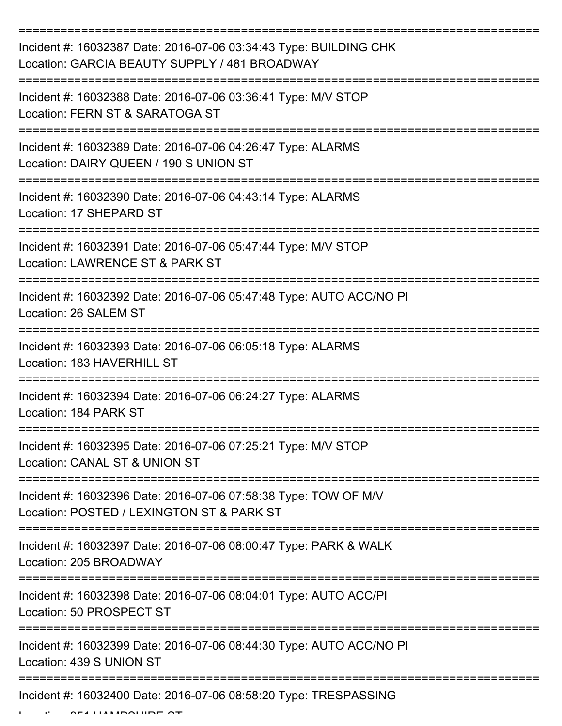| Incident #: 16032387 Date: 2016-07-06 03:34:43 Type: BUILDING CHK<br>Location: GARCIA BEAUTY SUPPLY / 481 BROADWAY |
|--------------------------------------------------------------------------------------------------------------------|
| Incident #: 16032388 Date: 2016-07-06 03:36:41 Type: M/V STOP<br>Location: FERN ST & SARATOGA ST                   |
| Incident #: 16032389 Date: 2016-07-06 04:26:47 Type: ALARMS<br>Location: DAIRY QUEEN / 190 S UNION ST              |
| Incident #: 16032390 Date: 2016-07-06 04:43:14 Type: ALARMS<br>Location: 17 SHEPARD ST                             |
| Incident #: 16032391 Date: 2016-07-06 05:47:44 Type: M/V STOP<br>Location: LAWRENCE ST & PARK ST                   |
| Incident #: 16032392 Date: 2016-07-06 05:47:48 Type: AUTO ACC/NO PI<br>Location: 26 SALEM ST                       |
| Incident #: 16032393 Date: 2016-07-06 06:05:18 Type: ALARMS<br>Location: 183 HAVERHILL ST                          |
| Incident #: 16032394 Date: 2016-07-06 06:24:27 Type: ALARMS<br>Location: 184 PARK ST                               |
| Incident #: 16032395 Date: 2016-07-06 07:25:21 Type: M/V STOP<br>Location: CANAL ST & UNION ST                     |
| Incident #: 16032396 Date: 2016-07-06 07:58:38 Type: TOW OF M/V<br>Location: POSTED / LEXINGTON ST & PARK ST       |
| Incident #: 16032397 Date: 2016-07-06 08:00:47 Type: PARK & WALK<br>Location: 205 BROADWAY                         |
| Incident #: 16032398 Date: 2016-07-06 08:04:01 Type: AUTO ACC/PI<br>Location: 50 PROSPECT ST                       |
| Incident #: 16032399 Date: 2016-07-06 08:44:30 Type: AUTO ACC/NO PI<br>Location: 439 S UNION ST                    |
| Incident #: 16032400 Date: 2016-07-06 08:58:20 Type: TRESPASSING                                                   |

Location: 351 HAMPSHIRE ST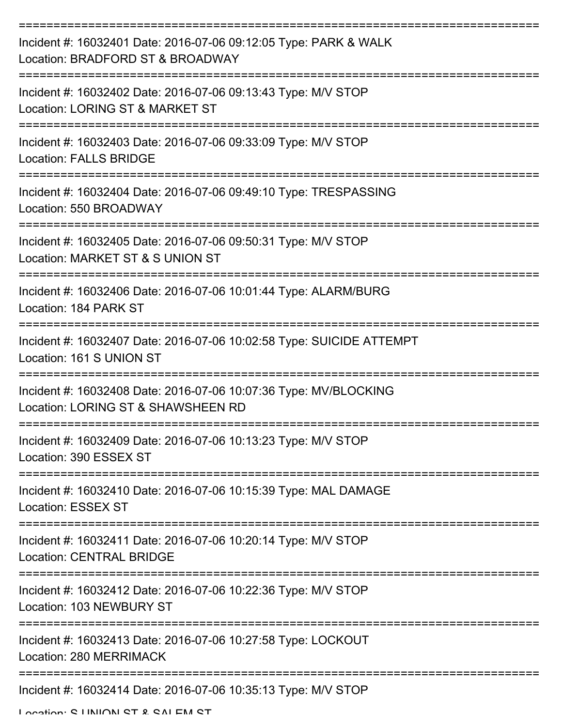| Incident #: 16032401 Date: 2016-07-06 09:12:05 Type: PARK & WALK<br>Location: BRADFORD ST & BROADWAY   |
|--------------------------------------------------------------------------------------------------------|
| Incident #: 16032402 Date: 2016-07-06 09:13:43 Type: M/V STOP<br>Location: LORING ST & MARKET ST       |
| Incident #: 16032403 Date: 2016-07-06 09:33:09 Type: M/V STOP<br><b>Location: FALLS BRIDGE</b>         |
| Incident #: 16032404 Date: 2016-07-06 09:49:10 Type: TRESPASSING<br>Location: 550 BROADWAY             |
| Incident #: 16032405 Date: 2016-07-06 09:50:31 Type: M/V STOP<br>Location: MARKET ST & S UNION ST      |
| Incident #: 16032406 Date: 2016-07-06 10:01:44 Type: ALARM/BURG<br>Location: 184 PARK ST               |
| Incident #: 16032407 Date: 2016-07-06 10:02:58 Type: SUICIDE ATTEMPT<br>Location: 161 S UNION ST       |
| Incident #: 16032408 Date: 2016-07-06 10:07:36 Type: MV/BLOCKING<br>Location: LORING ST & SHAWSHEEN RD |
| Incident #: 16032409 Date: 2016-07-06 10:13:23 Type: M/V STOP<br>Location: 390 ESSEX ST                |
| Incident #: 16032410 Date: 2016-07-06 10:15:39 Type: MAL DAMAGE<br><b>Location: ESSEX ST</b>           |
| Incident #: 16032411 Date: 2016-07-06 10:20:14 Type: M/V STOP<br><b>Location: CENTRAL BRIDGE</b>       |
| Incident #: 16032412 Date: 2016-07-06 10:22:36 Type: M/V STOP<br>Location: 103 NEWBURY ST              |
| Incident #: 16032413 Date: 2016-07-06 10:27:58 Type: LOCKOUT<br>Location: 280 MERRIMACK                |
| Incident #: 16032414 Date: 2016-07-06 10:35:13 Type: M/V STOP                                          |

Location: C LINIION CT & CALEM CT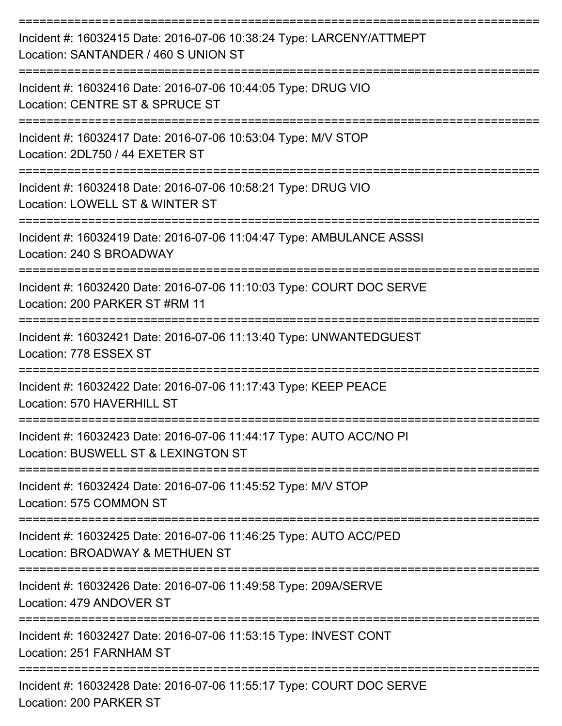| Incident #: 16032415 Date: 2016-07-06 10:38:24 Type: LARCENY/ATTMEPT<br>Location: SANTANDER / 460 S UNION ST |
|--------------------------------------------------------------------------------------------------------------|
| Incident #: 16032416 Date: 2016-07-06 10:44:05 Type: DRUG VIO<br>Location: CENTRE ST & SPRUCE ST             |
| Incident #: 16032417 Date: 2016-07-06 10:53:04 Type: M/V STOP<br>Location: 2DL750 / 44 EXETER ST             |
| Incident #: 16032418 Date: 2016-07-06 10:58:21 Type: DRUG VIO<br>Location: LOWELL ST & WINTER ST             |
| Incident #: 16032419 Date: 2016-07-06 11:04:47 Type: AMBULANCE ASSSI<br>Location: 240 S BROADWAY             |
| Incident #: 16032420 Date: 2016-07-06 11:10:03 Type: COURT DOC SERVE<br>Location: 200 PARKER ST #RM 11       |
| Incident #: 16032421 Date: 2016-07-06 11:13:40 Type: UNWANTEDGUEST<br>Location: 778 ESSEX ST                 |
| Incident #: 16032422 Date: 2016-07-06 11:17:43 Type: KEEP PEACE<br>Location: 570 HAVERHILL ST                |
| Incident #: 16032423 Date: 2016-07-06 11:44:17 Type: AUTO ACC/NO PI<br>Location: BUSWELL ST & LEXINGTON ST   |
| Incident #: 16032424 Date: 2016-07-06 11:45:52 Type: M/V STOP<br>Location: 575 COMMON ST                     |
| Incident #: 16032425 Date: 2016-07-06 11:46:25 Type: AUTO ACC/PED<br>Location: BROADWAY & METHUEN ST         |
| Incident #: 16032426 Date: 2016-07-06 11:49:58 Type: 209A/SERVE<br>Location: 479 ANDOVER ST                  |
| Incident #: 16032427 Date: 2016-07-06 11:53:15 Type: INVEST CONT<br>Location: 251 FARNHAM ST                 |
| Incident #: 16032428 Date: 2016-07-06 11:55:17 Type: COURT DOC SERVE<br>Location: 200 PARKER ST              |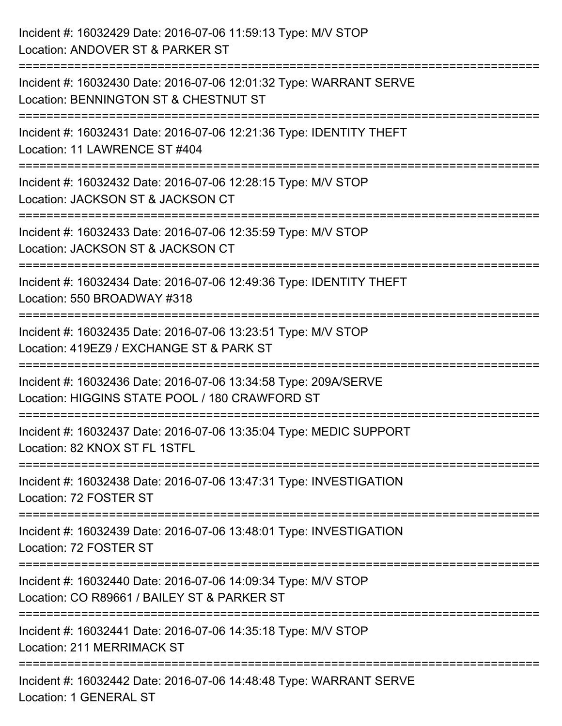| Incident #: 16032429 Date: 2016-07-06 11:59:13 Type: M/V STOP<br>Location: ANDOVER ST & PARKER ST                                        |
|------------------------------------------------------------------------------------------------------------------------------------------|
| Incident #: 16032430 Date: 2016-07-06 12:01:32 Type: WARRANT SERVE<br>Location: BENNINGTON ST & CHESTNUT ST                              |
| Incident #: 16032431 Date: 2016-07-06 12:21:36 Type: IDENTITY THEFT<br>Location: 11 LAWRENCE ST #404<br>================================ |
| Incident #: 16032432 Date: 2016-07-06 12:28:15 Type: M/V STOP<br>Location: JACKSON ST & JACKSON CT                                       |
| Incident #: 16032433 Date: 2016-07-06 12:35:59 Type: M/V STOP<br>Location: JACKSON ST & JACKSON CT<br>==================                 |
| Incident #: 16032434 Date: 2016-07-06 12:49:36 Type: IDENTITY THEFT<br>Location: 550 BROADWAY #318                                       |
| Incident #: 16032435 Date: 2016-07-06 13:23:51 Type: M/V STOP<br>Location: 419EZ9 / EXCHANGE ST & PARK ST                                |
| Incident #: 16032436 Date: 2016-07-06 13:34:58 Type: 209A/SERVE<br>Location: HIGGINS STATE POOL / 180 CRAWFORD ST                        |
| Incident #: 16032437 Date: 2016-07-06 13:35:04 Type: MEDIC SUPPORT<br>Location: 82 KNOX ST FL 1STFL                                      |
| Incident #: 16032438 Date: 2016-07-06 13:47:31 Type: INVESTIGATION<br>Location: 72 FOSTER ST                                             |
| Incident #: 16032439 Date: 2016-07-06 13:48:01 Type: INVESTIGATION<br>Location: 72 FOSTER ST                                             |
| Incident #: 16032440 Date: 2016-07-06 14:09:34 Type: M/V STOP<br>Location: CO R89661 / BAILEY ST & PARKER ST                             |
| Incident #: 16032441 Date: 2016-07-06 14:35:18 Type: M/V STOP<br><b>Location: 211 MERRIMACK ST</b>                                       |
| Incident #: 16032442 Date: 2016-07-06 14:48:48 Type: WARRANT SERVE<br>Location: 1 GENERAL ST                                             |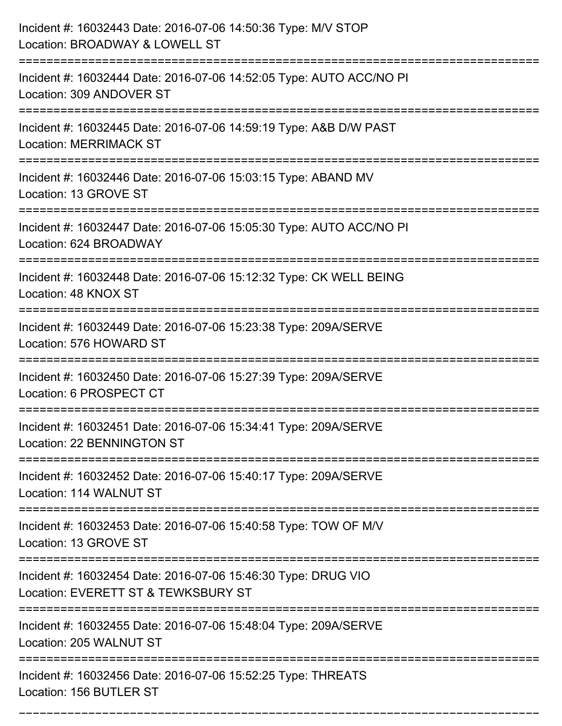| Incident #: 16032443 Date: 2016-07-06 14:50:36 Type: M/V STOP<br>Location: BROADWAY & LOWELL ST                                           |
|-------------------------------------------------------------------------------------------------------------------------------------------|
| Incident #: 16032444 Date: 2016-07-06 14:52:05 Type: AUTO ACC/NO PI<br>Location: 309 ANDOVER ST                                           |
| Incident #: 16032445 Date: 2016-07-06 14:59:19 Type: A&B D/W PAST<br><b>Location: MERRIMACK ST</b><br>=================================== |
| Incident #: 16032446 Date: 2016-07-06 15:03:15 Type: ABAND MV<br>Location: 13 GROVE ST                                                    |
| Incident #: 16032447 Date: 2016-07-06 15:05:30 Type: AUTO ACC/NO PI<br>Location: 624 BROADWAY                                             |
| Incident #: 16032448 Date: 2016-07-06 15:12:32 Type: CK WELL BEING<br>Location: 48 KNOX ST                                                |
| Incident #: 16032449 Date: 2016-07-06 15:23:38 Type: 209A/SERVE<br>Location: 576 HOWARD ST                                                |
| Incident #: 16032450 Date: 2016-07-06 15:27:39 Type: 209A/SERVE<br>Location: 6 PROSPECT CT                                                |
| Incident #: 16032451 Date: 2016-07-06 15:34:41 Type: 209A/SERVE<br><b>Location: 22 BENNINGTON ST</b>                                      |
| Incident #: 16032452 Date: 2016-07-06 15:40:17 Type: 209A/SERVE<br>Location: 114 WALNUT ST                                                |
| Incident #: 16032453 Date: 2016-07-06 15:40:58 Type: TOW OF M/V<br>Location: 13 GROVE ST                                                  |
| Incident #: 16032454 Date: 2016-07-06 15:46:30 Type: DRUG VIO<br>Location: EVERETT ST & TEWKSBURY ST                                      |
| Incident #: 16032455 Date: 2016-07-06 15:48:04 Type: 209A/SERVE<br>Location: 205 WALNUT ST<br>-------------------------------------       |
| =====================<br>Incident #: 16032456 Date: 2016-07-06 15:52:25 Type: THREATS<br>Location: 156 BUTLER ST                          |

===========================================================================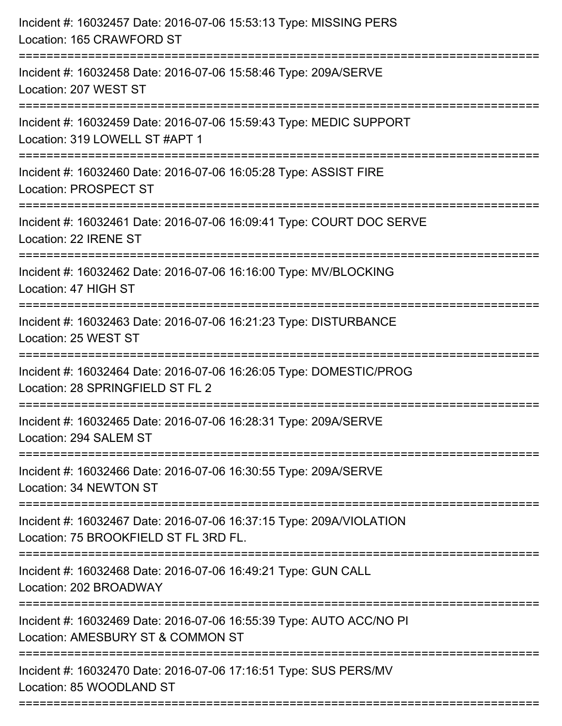| Incident #: 16032457 Date: 2016-07-06 15:53:13 Type: MISSING PERS<br>Location: 165 CRAWFORD ST<br>============================= |
|---------------------------------------------------------------------------------------------------------------------------------|
| Incident #: 16032458 Date: 2016-07-06 15:58:46 Type: 209A/SERVE<br>Location: 207 WEST ST                                        |
| Incident #: 16032459 Date: 2016-07-06 15:59:43 Type: MEDIC SUPPORT<br>Location: 319 LOWELL ST #APT 1<br>:===============        |
| Incident #: 16032460 Date: 2016-07-06 16:05:28 Type: ASSIST FIRE<br>Location: PROSPECT ST                                       |
| Incident #: 16032461 Date: 2016-07-06 16:09:41 Type: COURT DOC SERVE<br>Location: 22 IRENE ST                                   |
| Incident #: 16032462 Date: 2016-07-06 16:16:00 Type: MV/BLOCKING<br>Location: 47 HIGH ST                                        |
| Incident #: 16032463 Date: 2016-07-06 16:21:23 Type: DISTURBANCE<br>Location: 25 WEST ST                                        |
| Incident #: 16032464 Date: 2016-07-06 16:26:05 Type: DOMESTIC/PROG<br>Location: 28 SPRINGFIELD ST FL 2                          |
| Incident #: 16032465 Date: 2016-07-06 16:28:31 Type: 209A/SERVE<br>Location: 294 SALEM ST                                       |
| Incident #: 16032466 Date: 2016-07-06 16:30:55 Type: 209A/SERVE<br>Location: 34 NEWTON ST                                       |
| Incident #: 16032467 Date: 2016-07-06 16:37:15 Type: 209A/VIOLATION<br>Location: 75 BROOKFIELD ST FL 3RD FL.                    |
| Incident #: 16032468 Date: 2016-07-06 16:49:21 Type: GUN CALL<br>Location: 202 BROADWAY                                         |
| Incident #: 16032469 Date: 2016-07-06 16:55:39 Type: AUTO ACC/NO PI<br>Location: AMESBURY ST & COMMON ST                        |
| Incident #: 16032470 Date: 2016-07-06 17:16:51 Type: SUS PERS/MV<br>Location: 85 WOODLAND ST                                    |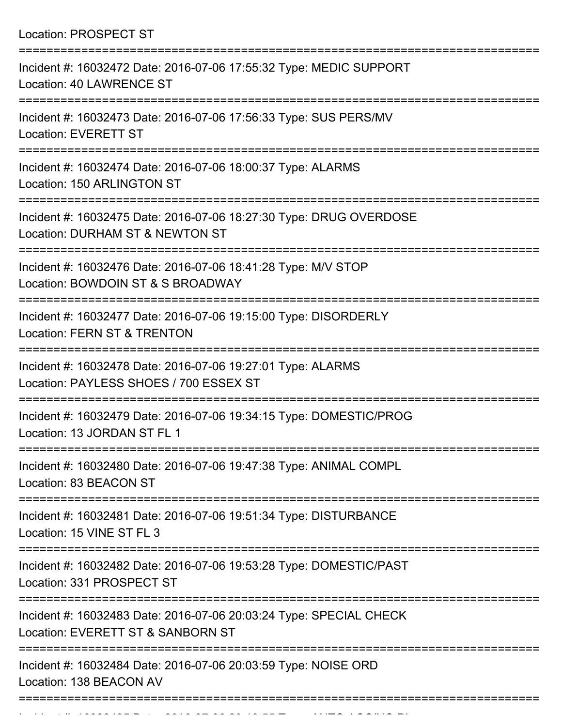Location: PROSPECT ST

| Incident #: 16032472 Date: 2016-07-06 17:55:32 Type: MEDIC SUPPORT<br><b>Location: 40 LAWRENCE ST</b>   |
|---------------------------------------------------------------------------------------------------------|
| Incident #: 16032473 Date: 2016-07-06 17:56:33 Type: SUS PERS/MV<br>Location: EVERETT ST                |
| Incident #: 16032474 Date: 2016-07-06 18:00:37 Type: ALARMS<br>Location: 150 ARLINGTON ST               |
| Incident #: 16032475 Date: 2016-07-06 18:27:30 Type: DRUG OVERDOSE<br>Location: DURHAM ST & NEWTON ST   |
| Incident #: 16032476 Date: 2016-07-06 18:41:28 Type: M/V STOP<br>Location: BOWDOIN ST & S BROADWAY      |
| Incident #: 16032477 Date: 2016-07-06 19:15:00 Type: DISORDERLY<br>Location: FERN ST & TRENTON          |
| Incident #: 16032478 Date: 2016-07-06 19:27:01 Type: ALARMS<br>Location: PAYLESS SHOES / 700 ESSEX ST   |
| Incident #: 16032479 Date: 2016-07-06 19:34:15 Type: DOMESTIC/PROG<br>Location: 13 JORDAN ST FL 1       |
| Incident #: 16032480 Date: 2016-07-06 19:47:38 Type: ANIMAL COMPL<br>Location: 83 BEACON ST             |
| Incident #: 16032481 Date: 2016-07-06 19:51:34 Type: DISTURBANCE<br>Location: 15 VINE ST FL 3           |
| Incident #: 16032482 Date: 2016-07-06 19:53:28 Type: DOMESTIC/PAST<br>Location: 331 PROSPECT ST         |
| Incident #: 16032483 Date: 2016-07-06 20:03:24 Type: SPECIAL CHECK<br>Location: EVERETT ST & SANBORN ST |
| Incident #: 16032484 Date: 2016-07-06 20:03:59 Type: NOISE ORD<br>Location: 138 BEACON AV               |
|                                                                                                         |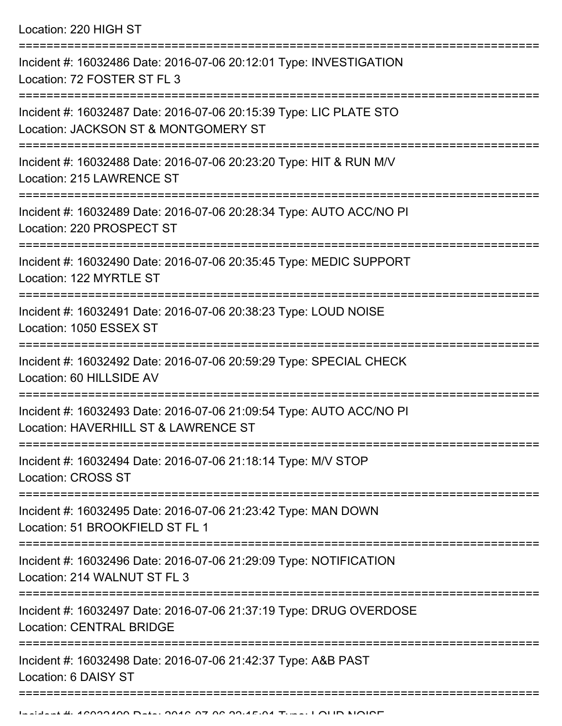Location: 220 HIGH ST

| Incident #: 16032486 Date: 2016-07-06 20:12:01 Type: INVESTIGATION<br>Location: 72 FOSTER ST FL 3           |
|-------------------------------------------------------------------------------------------------------------|
| Incident #: 16032487 Date: 2016-07-06 20:15:39 Type: LIC PLATE STO<br>Location: JACKSON ST & MONTGOMERY ST  |
| Incident #: 16032488 Date: 2016-07-06 20:23:20 Type: HIT & RUN M/V<br>Location: 215 LAWRENCE ST             |
| Incident #: 16032489 Date: 2016-07-06 20:28:34 Type: AUTO ACC/NO PI<br>Location: 220 PROSPECT ST            |
| Incident #: 16032490 Date: 2016-07-06 20:35:45 Type: MEDIC SUPPORT<br>Location: 122 MYRTLE ST               |
| Incident #: 16032491 Date: 2016-07-06 20:38:23 Type: LOUD NOISE<br>Location: 1050 ESSEX ST                  |
| Incident #: 16032492 Date: 2016-07-06 20:59:29 Type: SPECIAL CHECK<br>Location: 60 HILLSIDE AV              |
| Incident #: 16032493 Date: 2016-07-06 21:09:54 Type: AUTO ACC/NO PI<br>Location: HAVERHILL ST & LAWRENCE ST |
| Incident #: 16032494 Date: 2016-07-06 21:18:14 Type: M/V STOP<br><b>Location: CROSS ST</b>                  |
| Incident #: 16032495 Date: 2016-07-06 21:23:42 Type: MAN DOWN<br>Location: 51 BROOKFIELD ST FL 1            |
| Incident #: 16032496 Date: 2016-07-06 21:29:09 Type: NOTIFICATION<br>Location: 214 WALNUT ST FL 3           |
| Incident #: 16032497 Date: 2016-07-06 21:37:19 Type: DRUG OVERDOSE<br><b>Location: CENTRAL BRIDGE</b>       |
| Incident #: 16032498 Date: 2016-07-06 21:42:37 Type: A&B PAST<br>Location: 6 DAISY ST                       |
|                                                                                                             |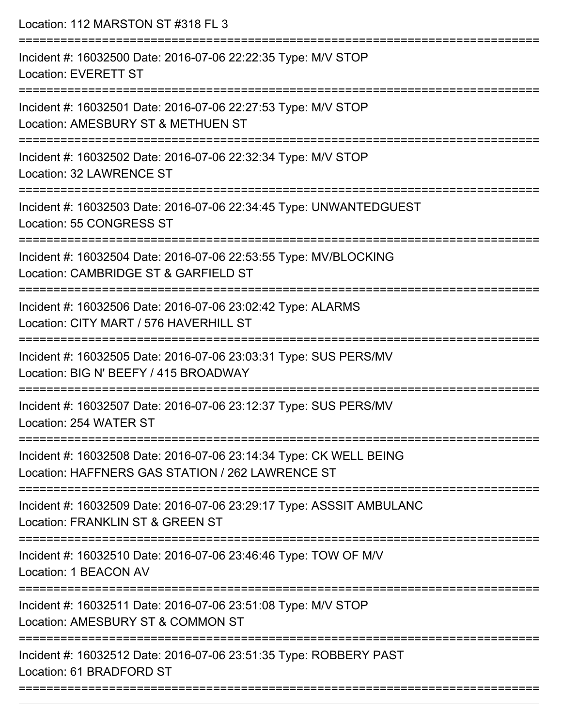| Location: 112 MARSTON ST #318 FL 3                                                                                                                  |
|-----------------------------------------------------------------------------------------------------------------------------------------------------|
| Incident #: 16032500 Date: 2016-07-06 22:22:35 Type: M/V STOP<br><b>Location: EVERETT ST</b><br>==================================                  |
| Incident #: 16032501 Date: 2016-07-06 22:27:53 Type: M/V STOP<br>Location: AMESBURY ST & METHUEN ST                                                 |
| Incident #: 16032502 Date: 2016-07-06 22:32:34 Type: M/V STOP<br>Location: 32 LAWRENCE ST<br>-------------------                                    |
| Incident #: 16032503 Date: 2016-07-06 22:34:45 Type: UNWANTEDGUEST<br>Location: 55 CONGRESS ST                                                      |
| Incident #: 16032504 Date: 2016-07-06 22:53:55 Type: MV/BLOCKING<br>Location: CAMBRIDGE ST & GARFIELD ST                                            |
| Incident #: 16032506 Date: 2016-07-06 23:02:42 Type: ALARMS<br>Location: CITY MART / 576 HAVERHILL ST                                               |
| Incident #: 16032505 Date: 2016-07-06 23:03:31 Type: SUS PERS/MV<br>Location: BIG N' BEEFY / 415 BROADWAY                                           |
| ==============================<br>-------------------<br>Incident #: 16032507 Date: 2016-07-06 23:12:37 Type: SUS PERS/MV<br>Location: 254 WATER ST |
| Incident #: 16032508 Date: 2016-07-06 23:14:34 Type: CK WELL BEING<br>Location: HAFFNERS GAS STATION / 262 LAWRENCE ST                              |
| Incident #: 16032509 Date: 2016-07-06 23:29:17 Type: ASSSIT AMBULANC<br>Location: FRANKLIN ST & GREEN ST                                            |
| Incident #: 16032510 Date: 2016-07-06 23:46:46 Type: TOW OF M/V<br>Location: 1 BEACON AV                                                            |
| Incident #: 16032511 Date: 2016-07-06 23:51:08 Type: M/V STOP<br>Location: AMESBURY ST & COMMON ST                                                  |
| Incident #: 16032512 Date: 2016-07-06 23:51:35 Type: ROBBERY PAST<br>Location: 61 BRADFORD ST                                                       |
|                                                                                                                                                     |